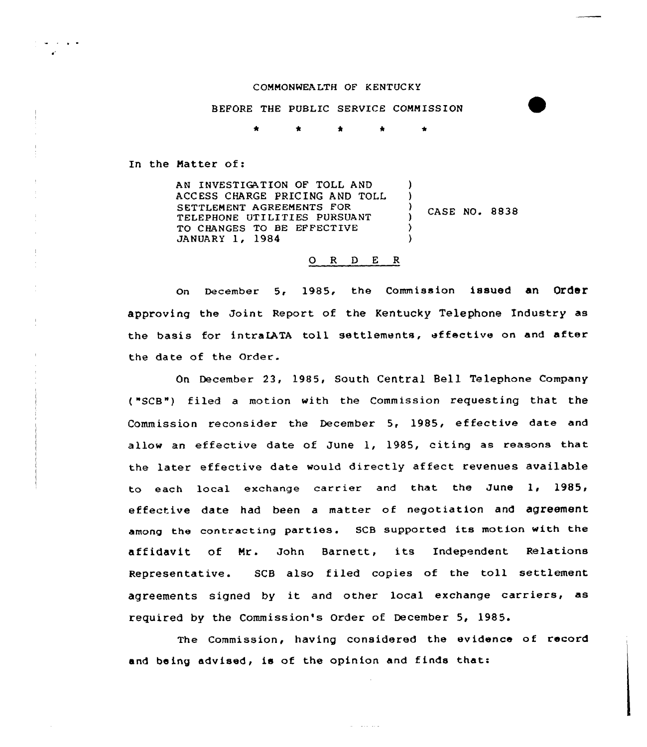## COMMONWEA LTH OF KENTUC KY

## BEFORE THE PUBLIC SERVICE COMMISSION

 $\bullet$ 

In the Matter of:

AN INVESTIGATION OF TOLL AND ACCESS CHARGE PRICING AND TOLL SETTLEMENT AGREEMENTS FOR TELEPHONE UTILITIES PURSUANT TO CHANGES TO BE EFFECTIVE JANUARY 1, 1984 ) ) CASE NO. 8838 ) ) )

## 0 <sup>R</sup> <sup>D</sup> <sup>E</sup> <sup>R</sup>

On December 5< 1985, the Commission issued an Order approving the Joint Report of the Kentucky Telephone Industry as the basis for intraIATA toll settlements, effective on and after the date of the Order.

On December 23, 1985, South Central Bell Telephone Company ("SCB") filed a motion with the Commission requesting that the Commission reconsider the December 5, 1985, effective date and allow an effective date of June 1, 1985, citing as reasons that the later effective date would directly affect revenues available to each local exchange carrier and that the June 1, 1985, effective date had been a matter of negotiation and agreement among the contracting parties. SCB supported its motion with the affidavit of Mr. John Barnett, its Independent Relations Representative. SCB also filed copies of the toll settlement agreements signed by it and other local exchange carriers, as required by the Commission's Order of December 5, 1985.

The Commission, having considered the evidence of record and being advised, is of the opinion and finds that:

 $\alpha$  . The second  $\alpha$